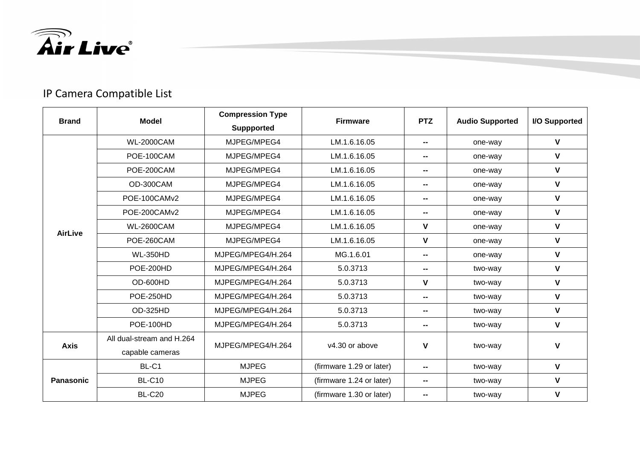

## IP Camera Compatible List

| <b>Brand</b>     | <b>Model</b>              | <b>Compression Type</b> | <b>Firmware</b>          | <b>PTZ</b>     | <b>Audio Supported</b> | <b>I/O Supported</b> |
|------------------|---------------------------|-------------------------|--------------------------|----------------|------------------------|----------------------|
|                  |                           | <b>Suppported</b>       |                          |                |                        |                      |
|                  | <b>WL-2000CAM</b>         | MJPEG/MPEG4             | LM.1.6.16.05             | $\blacksquare$ | one-way                | $\mathbf{V}$         |
|                  | POE-100CAM                | MJPEG/MPEG4             | LM.1.6.16.05             | $\blacksquare$ | one-way                | $\mathbf{V}$         |
|                  | POE-200CAM                | MJPEG/MPEG4             | LM.1.6.16.05             | $\blacksquare$ | one-way                | $\mathbf{V}$         |
|                  | OD-300CAM                 | MJPEG/MPEG4             | LM.1.6.16.05             | --             | one-way                | $\mathbf{V}$         |
|                  | POE-100CAMv2              | MJPEG/MPEG4             | LM.1.6.16.05             | $\blacksquare$ | one-way                | $\mathbf{V}$         |
|                  | POE-200CAMv2              | MJPEG/MPEG4             | LM.1.6.16.05             | $\blacksquare$ | one-way                | $\mathbf{V}$         |
|                  | <b>WL-2600CAM</b>         | MJPEG/MPEG4             | LM.1.6.16.05             | V              | one-way                | $\mathbf{V}$         |
| <b>AirLive</b>   | POE-260CAM                | MJPEG/MPEG4             | LM.1.6.16.05             | $\mathbf{V}$   | one-way                | $\mathbf{V}$         |
|                  | <b>WL-350HD</b>           | MJPEG/MPEG4/H.264       | MG.1.6.01                | $\blacksquare$ | one-way                | $\mathbf{V}$         |
|                  | <b>POE-200HD</b>          | MJPEG/MPEG4/H.264       | 5.0.3713                 | $\blacksquare$ | two-way                | $\mathbf{V}$         |
|                  | OD-600HD                  | MJPEG/MPEG4/H.264       | 5.0.3713                 | V              | two-way                | $\mathbf{V}$         |
|                  | <b>POE-250HD</b>          | MJPEG/MPEG4/H.264       | 5.0.3713                 | $\blacksquare$ | two-way                | $\mathbf v$          |
|                  | OD-325HD                  | MJPEG/MPEG4/H.264       | 5.0.3713                 | --             | two-way                | $\mathbf{V}$         |
|                  | <b>POE-100HD</b>          | MJPEG/MPEG4/H.264       | 5.0.3713                 | --             | two-way                | $\mathbf{V}$         |
| <b>Axis</b>      | All dual-stream and H.264 | MJPEG/MPEG4/H.264       | v4.30 or above           | V              |                        | $\mathbf v$          |
|                  | capable cameras           |                         |                          |                | two-way                |                      |
| <b>Panasonic</b> | BL-C1                     | <b>MJPEG</b>            | (firmware 1.29 or later) | --             | two-way                | $\mathbf{V}$         |
|                  | <b>BL-C10</b>             | <b>MJPEG</b>            | (firmware 1.24 or later) | $\blacksquare$ | two-way                | $\mathbf{V}$         |
|                  | <b>BL-C20</b>             | <b>MJPEG</b>            | (firmware 1.30 or later) | --             | two-way                | $\mathbf{V}$         |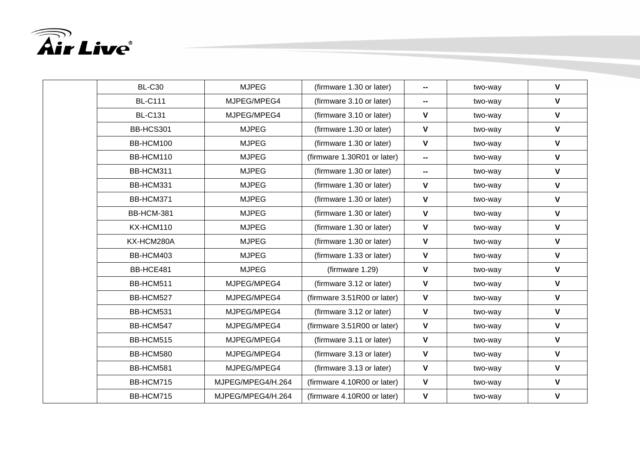

| <b>BL-C30</b>  | <b>MJPEG</b>      | (firmware 1.30 or later)    | $\overline{\phantom{a}}$ | two-way | $\mathbf v$  |
|----------------|-------------------|-----------------------------|--------------------------|---------|--------------|
| <b>BL-C111</b> | MJPEG/MPEG4       | (firmware 3.10 or later)    | $\overline{\phantom{a}}$ | two-way | $\mathbf{V}$ |
| <b>BL-C131</b> | MJPEG/MPEG4       | (firmware 3.10 or later)    | V                        | two-way | $\mathbf{V}$ |
| BB-HCS301      | <b>MJPEG</b>      | (firmware 1.30 or later)    | $\mathbf{V}$             | two-way | $\mathbf v$  |
| BB-HCM100      | <b>MJPEG</b>      | (firmware 1.30 or later)    | V                        | two-way | $\mathbf v$  |
| BB-HCM110      | <b>MJPEG</b>      | (firmware 1.30R01 or later) | $\overline{\phantom{a}}$ | two-way | $\mathsf{V}$ |
| BB-HCM311      | <b>MJPEG</b>      | (firmware 1.30 or later)    | --                       | two-way | $\mathbf{V}$ |
| BB-HCM331      | <b>MJPEG</b>      | (firmware 1.30 or later)    | $\mathbf{V}$             | two-way | $\mathbf{V}$ |
| BB-HCM371      | <b>MJPEG</b>      | (firmware 1.30 or later)    | $\mathbf{V}$             | two-way | $\mathbf{V}$ |
| BB-HCM-381     | <b>MJPEG</b>      | (firmware 1.30 or later)    | V                        | two-way | $\mathbf{V}$ |
| KX-HCM110      | <b>MJPEG</b>      | (firmware 1.30 or later)    | $\mathbf{V}$             | two-way | $\mathbf{V}$ |
| KX-HCM280A     | <b>MJPEG</b>      | (firmware 1.30 or later)    | V                        | two-way | $\mathbf v$  |
| BB-HCM403      | <b>MJPEG</b>      | (firmware 1.33 or later)    | V                        | two-way | $\mathbf v$  |
| BB-HCE481      | <b>MJPEG</b>      | (firmware 1.29)             | $\mathbf{V}$             | two-way | $\mathbf v$  |
| BB-HCM511      | MJPEG/MPEG4       | (firmware 3.12 or later)    | $\mathsf{V}$             | two-way | $\mathbf v$  |
| BB-HCM527      | MJPEG/MPEG4       | (firmware 3.51R00 or later) | $\mathsf{V}$             | two-way | $\mathbf{V}$ |
| BB-HCM531      | MJPEG/MPEG4       | (firmware 3.12 or later)    | $\mathbf{V}$             | two-way | $\mathbf v$  |
| BB-HCM547      | MJPEG/MPEG4       | (firmware 3.51R00 or later) | $\mathbf{V}$             | two-way | $\mathbf v$  |
| BB-HCM515      | MJPEG/MPEG4       | (firmware 3.11 or later)    | $\mathbf{V}$             | two-way | $\mathsf{V}$ |
| BB-HCM580      | MJPEG/MPEG4       | (firmware 3.13 or later)    | V                        | two-way | $\mathbf v$  |
| BB-HCM581      | MJPEG/MPEG4       | (firmware 3.13 or later)    | $\mathbf v$              | two-way | $\mathbf v$  |
| BB-HCM715      | MJPEG/MPEG4/H.264 | (firmware 4.10R00 or later) | $\mathbf{V}$             | two-way | $\mathbf v$  |
| BB-HCM715      | MJPEG/MPEG4/H.264 | (firmware 4.10R00 or later) | $\mathbf{V}$             | two-way | $\mathbf v$  |
|                |                   |                             |                          |         |              |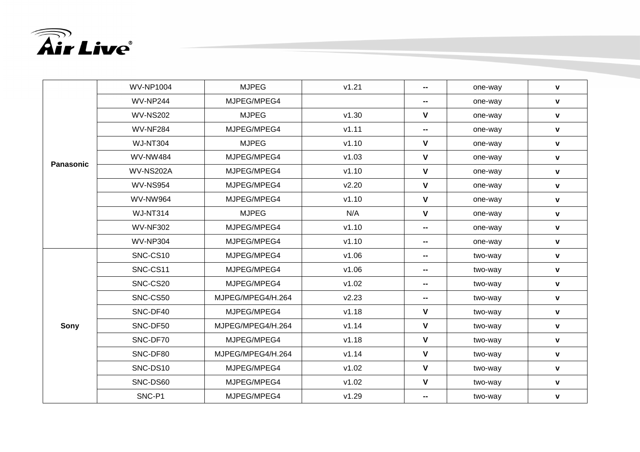

| <b>Panasonic</b> | <b>WV-NP1004</b> | <b>MJPEG</b>      | v1.21 | $\overline{\phantom{a}}$ | one-way | $\pmb{\mathsf{V}}$ |
|------------------|------------------|-------------------|-------|--------------------------|---------|--------------------|
|                  | <b>WV-NP244</b>  | MJPEG/MPEG4       |       | $\overline{\phantom{a}}$ | one-way | $\mathbf{v}$       |
|                  | <b>WV-NS202</b>  | <b>MJPEG</b>      | v1.30 | $\mathbf v$              | one-way | $\pmb{\mathsf{V}}$ |
|                  | <b>WV-NF284</b>  | MJPEG/MPEG4       | v1.11 | $\overline{\phantom{a}}$ | one-way | $\mathbf{v}$       |
|                  | <b>WJ-NT304</b>  | <b>MJPEG</b>      | v1.10 | V                        | one-way | $\mathbf v$        |
|                  | <b>WV-NW484</b>  | MJPEG/MPEG4       | v1.03 | $\mathbf{V}$             | one-way | $\mathbf{v}$       |
|                  | <b>WV-NS202A</b> | MJPEG/MPEG4       | v1.10 | $\mathbf v$              | one-way | $\mathbf v$        |
|                  | <b>WV-NS954</b>  | MJPEG/MPEG4       | v2.20 | $\mathbf{V}$             | one-way | $\mathbf{v}$       |
|                  | <b>WV-NW964</b>  | MJPEG/MPEG4       | v1.10 | $\mathbf v$              | one-way | $\pmb{\mathsf{V}}$ |
|                  | <b>WJ-NT314</b>  | <b>MJPEG</b>      | N/A   | $\mathsf{V}$             | one-way | $\mathbf{v}$       |
|                  | <b>WV-NF302</b>  | MJPEG/MPEG4       | v1.10 | --                       | one-way | $\mathbf v$        |
|                  | <b>WV-NP304</b>  | MJPEG/MPEG4       | v1.10 | $\overline{\phantom{a}}$ | one-way | $\pmb{\mathsf{V}}$ |
|                  | SNC-CS10         | MJPEG/MPEG4       | v1.06 | --                       | two-way | $\mathbf{v}$       |
|                  | SNC-CS11         | MJPEG/MPEG4       | v1.06 | $\overline{\phantom{a}}$ | two-way | $\mathbf v$        |
|                  | SNC-CS20         | MJPEG/MPEG4       | v1.02 | $\overline{\phantom{a}}$ | two-way | $\mathbf{v}$       |
|                  | SNC-CS50         | MJPEG/MPEG4/H.264 | v2.23 | --                       | two-way | $\mathbf{v}$       |
|                  | SNC-DF40         | MJPEG/MPEG4       | v1.18 | V                        | two-way | $\mathbf{v}$       |
| Sony             | SNC-DF50         | MJPEG/MPEG4/H.264 | v1.14 | $\mathsf{v}$             | two-way | $\mathbf v$        |
|                  | SNC-DF70         | MJPEG/MPEG4       | v1.18 | $\mathsf{V}$             | two-way | $\mathbf v$        |
|                  | SNC-DF80         | MJPEG/MPEG4/H.264 | v1.14 | $\mathbf v$              | two-way | $\mathbf v$        |
|                  | SNC-DS10         | MJPEG/MPEG4       | v1.02 | $\mathbf v$              | two-way | $\mathbf{v}$       |
|                  | SNC-DS60         | MJPEG/MPEG4       | v1.02 | $\mathbf v$              | two-way | $\mathbf v$        |
|                  | SNC-P1           | MJPEG/MPEG4       | v1.29 | --                       | two-way | $\mathbf v$        |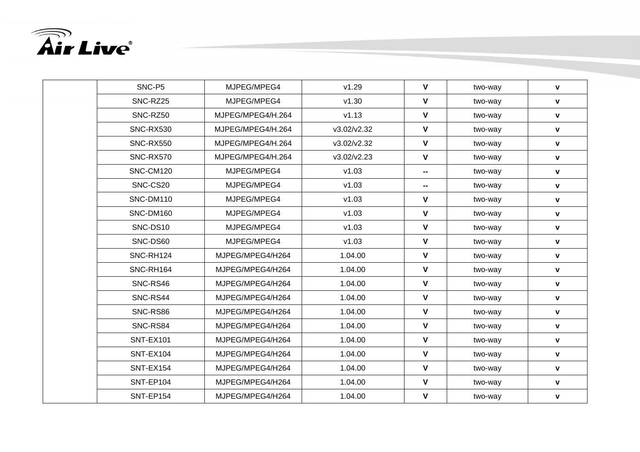

| SNC-P5           | MJPEG/MPEG4       | v1.29       | $\mathbf{V}$ | two-way | $\mathbf V$  |
|------------------|-------------------|-------------|--------------|---------|--------------|
| SNC-RZ25         | MJPEG/MPEG4       | v1.30       | $\mathbf{V}$ | two-way | $\mathbf v$  |
| SNC-RZ50         | MJPEG/MPEG4/H.264 | v1.13       | $\mathbf{V}$ | two-way | $\mathbf v$  |
| <b>SNC-RX530</b> | MJPEG/MPEG4/H.264 | v3.02/v2.32 | $\mathbf{V}$ | two-way | $\mathbf v$  |
| <b>SNC-RX550</b> | MJPEG/MPEG4/H.264 | v3.02/v2.32 | $\mathbf{V}$ | two-way | $\mathbf V$  |
| <b>SNC-RX570</b> | MJPEG/MPEG4/H.264 | v3.02/v2.23 | $\mathbf{V}$ | two-way | V            |
| SNC-CM120        | MJPEG/MPEG4       | v1.03       | $\mathbf{u}$ | two-way | V            |
| SNC-CS20         | MJPEG/MPEG4       | v1.03       | $\mathbf{-}$ | two-way | $\mathbf{v}$ |
| SNC-DM110        | MJPEG/MPEG4       | v1.03       | $\mathbf{V}$ | two-way | $\mathbf V$  |
| SNC-DM160        | MJPEG/MPEG4       | v1.03       | $\mathbf{V}$ | two-way | $\mathbf v$  |
| SNC-DS10         | MJPEG/MPEG4       | v1.03       | $\mathbf{V}$ | two-way | V            |
| SNC-DS60         | MJPEG/MPEG4       | v1.03       | $\mathbf{V}$ | two-way | $\mathbf v$  |
| SNC-RH124        | MJPEG/MPEG4/H264  | 1.04.00     | $\mathbf{V}$ | two-way | $\mathbf V$  |
| SNC-RH164        | MJPEG/MPEG4/H264  | 1.04.00     | $\mathbf{V}$ | two-way | $\mathbf V$  |
| SNC-RS46         | MJPEG/MPEG4/H264  | 1.04.00     | $\mathbf{V}$ | two-way | v            |
| SNC-RS44         | MJPEG/MPEG4/H264  | 1.04.00     | $\mathbf{V}$ | two-way | $\mathbf v$  |
| SNC-RS86         | MJPEG/MPEG4/H264  | 1.04.00     | $\mathbf{V}$ | two-way | $\mathbf V$  |
| SNC-RS84         | MJPEG/MPEG4/H264  | 1.04.00     | $\mathbf{V}$ | two-way | $\mathbf V$  |
| <b>SNT-EX101</b> | MJPEG/MPEG4/H264  | 1.04.00     | $\mathbf{V}$ | two-way | $\mathbf V$  |
| SNT-EX104        | MJPEG/MPEG4/H264  | 1.04.00     | $\mathbf{V}$ | two-way | $\mathbf V$  |
| SNT-EX154        | MJPEG/MPEG4/H264  | 1.04.00     | $\mathbf{V}$ | two-way | $\mathbf V$  |
| SNT-EP104        | MJPEG/MPEG4/H264  | 1.04.00     | $\mathbf{V}$ | two-way | $\mathbf V$  |
| SNT-EP154        | MJPEG/MPEG4/H264  | 1.04.00     | $\mathbf{V}$ | two-way | V            |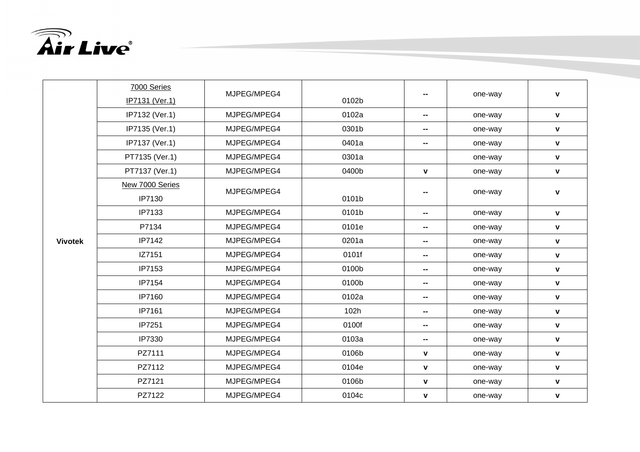

|                | 7000 Series     | MJPEG/MPEG4 |       |                                                   |         |                    |
|----------------|-----------------|-------------|-------|---------------------------------------------------|---------|--------------------|
|                | IP7131 (Ver.1)  |             | 0102b |                                                   | one-way | $\mathbf{v}$       |
|                | IP7132 (Ver.1)  | MJPEG/MPEG4 | 0102a | $\blacksquare$                                    | one-way | $\mathbf v$        |
|                | IP7135 (Ver.1)  | MJPEG/MPEG4 | 0301b | $\overline{\phantom{a}}$                          | one-way | $\mathbf v$        |
|                | IP7137 (Ver.1)  | MJPEG/MPEG4 | 0401a | $\overline{\phantom{a}}$                          | one-way | $\mathbf{v}$       |
|                | PT7135 (Ver.1)  | MJPEG/MPEG4 | 0301a |                                                   | one-way | $\mathbf V$        |
|                | PT7137 (Ver.1)  | MJPEG/MPEG4 | 0400b | $\pmb{\mathsf{V}}$                                | one-way | $\pmb{\mathsf{V}}$ |
|                | New 7000 Series |             |       |                                                   | one-way | $\pmb{\mathsf{V}}$ |
|                | IP7130          | MJPEG/MPEG4 | 0101b |                                                   |         |                    |
|                | IP7133          | MJPEG/MPEG4 | 0101b | $\overline{\phantom{a}}$                          | one-way | $\mathbf v$        |
| <b>Vivotek</b> | P7134           | MJPEG/MPEG4 | 0101e | $\blacksquare$                                    | one-way | $\mathbf V$        |
|                | IP7142          | MJPEG/MPEG4 | 0201a | $\mathbf{m}$                                      | one-way | $\pmb{\mathsf{V}}$ |
|                | IZ7151          | MJPEG/MPEG4 | 0101f | $\overline{\phantom{a}}$                          | one-way | $\mathbf{v}$       |
|                | IP7153          | MJPEG/MPEG4 | 0100b | $\overline{\phantom{a}}$                          | one-way | $\mathbf{V}$       |
|                | IP7154          | MJPEG/MPEG4 | 0100b | $\hspace{0.05cm}-\hspace{0.05cm}-\hspace{0.05cm}$ | one-way | $\mathbf v$        |
|                | IP7160          | MJPEG/MPEG4 | 0102a | $\overline{\phantom{a}}$                          | one-way | $\mathbf v$        |
|                | IP7161          | MJPEG/MPEG4 | 102h  | $\overline{\phantom{a}}$                          | one-way | $\mathbf v$        |
|                | IP7251          | MJPEG/MPEG4 | 0100f | $\overline{\phantom{a}}$                          | one-way | $\mathbf v$        |
|                | IP7330          | MJPEG/MPEG4 | 0103a | $\overline{\phantom{a}}$                          | one-way | $\pmb{\mathsf{V}}$ |
|                | PZ7111          | MJPEG/MPEG4 | 0106b | $\mathbf{V}$                                      | one-way | $\pmb{\mathsf{V}}$ |
|                | PZ7112          | MJPEG/MPEG4 | 0104e | $\mathbf v$                                       | one-way | $\mathbf v$        |
|                | PZ7121          | MJPEG/MPEG4 | 0106b | $\mathbf v$                                       | one-way | $\mathbf v$        |
|                | PZ7122          | MJPEG/MPEG4 | 0104c | $\mathbf v$                                       | one-way | $\pmb{\mathsf{V}}$ |